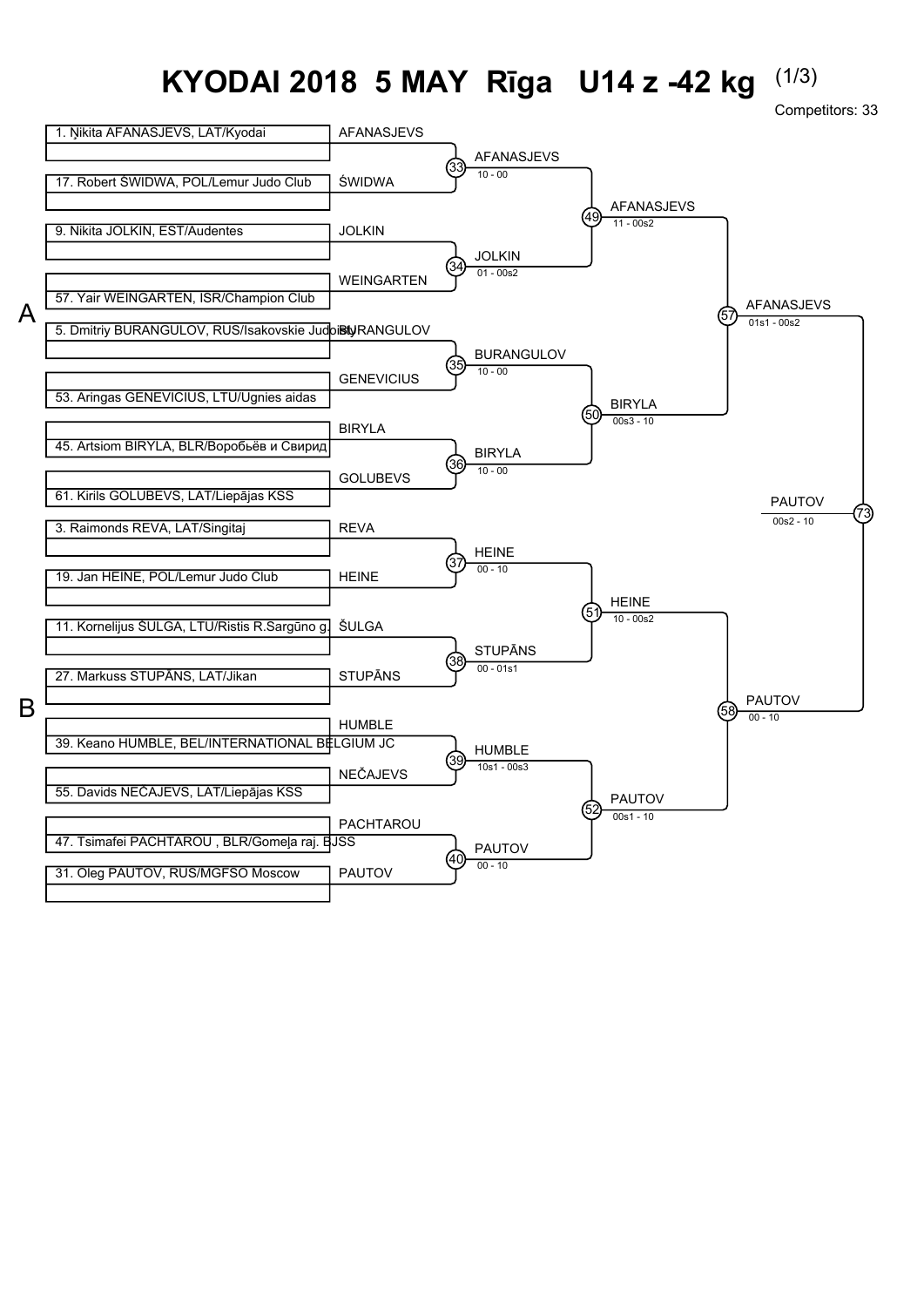## **KYODAI 2018 5 MAY Rīga U14 z -42 kg** (1/3)

Competitors: 33

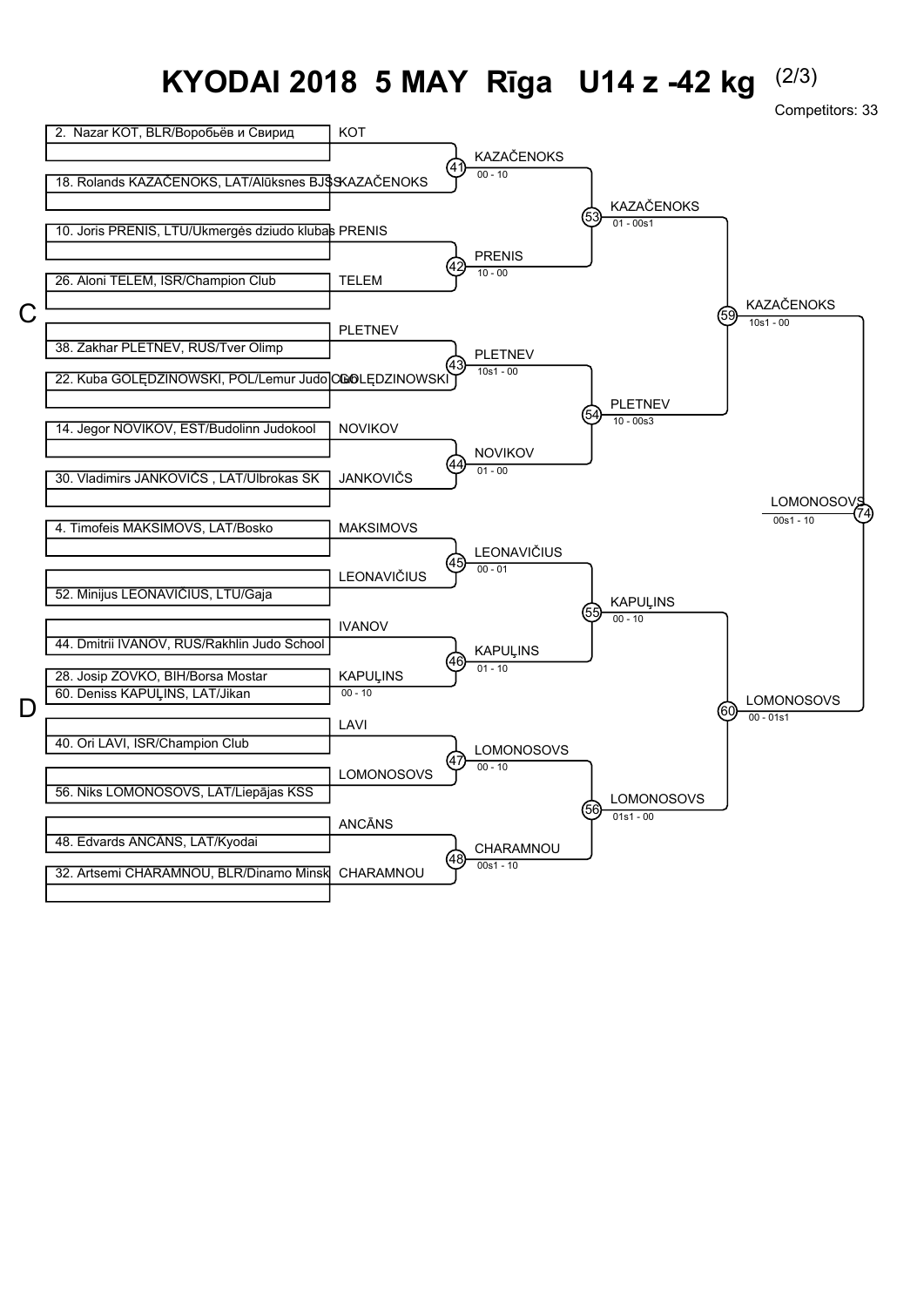## **KYODAI 2018 5 MAY Rīga U14 z -42 kg** (2/3)

Competitors: 33